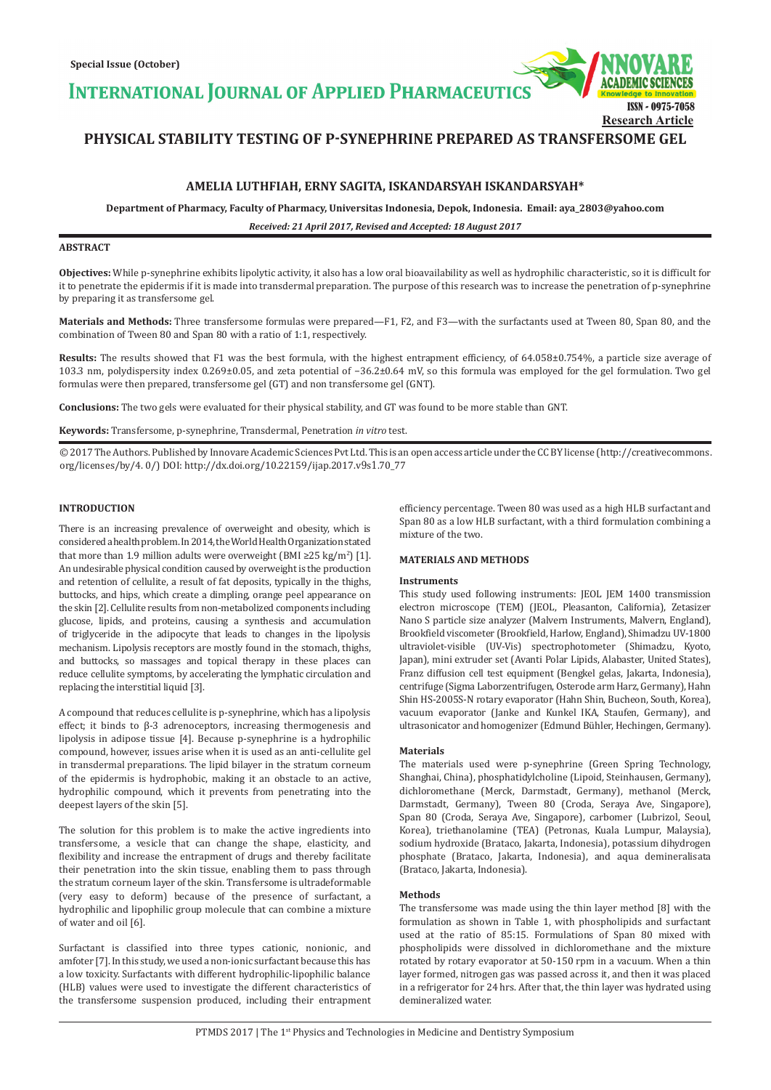**INTERNATIONAL JOURNAL OF APPLIED PHARMACEUTIC** 



# **PHYSICAL STABILITY TESTING OF P-SYNEPHRINE PREPARED AS TRANSFERSOME GEL**

## **AMELIA LUTHFIAH, ERNY SAGITA, ISKANDARSYAH ISKANDARSYAH\***

**Department of Pharmacy, Faculty of Pharmacy, Universitas Indonesia, Depok, Indonesia. Email: aya\_2803@yahoo.com**

*Received: 21 April 2017, Revised and Accepted: 18 August 2017*

## **ABSTRACT**

**Objectives:** While p-synephrine exhibits lipolytic activity, it also has a low oral bioavailability as well as hydrophilic characteristic, so it is difficult for it to penetrate the epidermis if it is made into transdermal preparation. The purpose of this research was to increase the penetration of p-synephrine by preparing it as transfersome gel.

**Materials and Methods:** Three transfersome formulas were prepared—F1, F2, and F3—with the surfactants used at Tween 80, Span 80, and the combination of Tween 80 and Span 80 with a ratio of 1:1, respectively.

Results: The results showed that F1 was the best formula, with the highest entrapment efficiency, of 64.058±0.754%, a particle size average of 103.3 nm, polydispersity index 0.269±0.05, and zeta potential of −36.2±0.64 mV, so this formula was employed for the gel formulation. Two gel formulas were then prepared, transfersome gel (GT) and non transfersome gel (GNT).

**Conclusions:** The two gels were evaluated for their physical stability, and GT was found to be more stable than GNT.

**Keywords:** Transfersome, p-synephrine, Transdermal, Penetration *in vitro* test.

© 2017 The Authors. Published by Innovare Academic Sciences Pvt Ltd. This is an open access article under the CC BY license (http://creativecommons. org/licenses/by/4. 0/) DOI: http://dx.doi.org/10.22159/ijap.2017.v9s1.70\_77

## **INTRODUCTION**

There is an increasing prevalence of overweight and obesity, which is considered a health problem. In 2014, the World Health Organization stated that more than 1.9 million adults were overweight (BMI ≥25 kg/m<sup>2</sup>) [1]. An undesirable physical condition caused by overweight is the production and retention of cellulite, a result of fat deposits, typically in the thighs, buttocks, and hips, which create a dimpling, orange peel appearance on the skin [2]. Cellulite results from non-metabolized components including glucose, lipids, and proteins, causing a synthesis and accumulation of triglyceride in the adipocyte that leads to changes in the lipolysis mechanism. Lipolysis receptors are mostly found in the stomach, thighs, and buttocks, so massages and topical therapy in these places can reduce cellulite symptoms, by accelerating the lymphatic circulation and replacing the interstitial liquid [3].

A compound that reduces cellulite is p-synephrine, which has a lipolysis effect; it binds to β-3 adrenoceptors, increasing thermogenesis and lipolysis in adipose tissue [4]. Because p-synephrine is a hydrophilic compound, however, issues arise when it is used as an anti-cellulite gel in transdermal preparations. The lipid bilayer in the stratum corneum of the epidermis is hydrophobic, making it an obstacle to an active, hydrophilic compound, which it prevents from penetrating into the deepest layers of the skin [5].

The solution for this problem is to make the active ingredients into transfersome, a vesicle that can change the shape, elasticity, and flexibility and increase the entrapment of drugs and thereby facilitate their penetration into the skin tissue, enabling them to pass through the stratum corneum layer of the skin. Transfersome is ultradeformable (very easy to deform) because of the presence of surfactant, a hydrophilic and lipophilic group molecule that can combine a mixture of water and oil [6].

Surfactant is classified into three types cationic, nonionic, and amfoter [7]. In this study, we used a non-ionic surfactant because this has a low toxicity. Surfactants with different hydrophilic-lipophilic balance (HLB) values were used to investigate the different characteristics of the transfersome suspension produced, including their entrapment efficiency percentage. Tween 80 was used as a high HLB surfactant and Span 80 as a low HLB surfactant, with a third formulation combining a mixture of the two.

## **MATERIALS AND METHODS**

## **Instruments**

This study used following instruments: JEOL JEM 1400 transmission electron microscope (TEM) (JEOL, Pleasanton, California), Zetasizer Nano S particle size analyzer (Malvern Instruments, Malvern, England), Brookfield viscometer (Brookfield, Harlow, England), Shimadzu UV-1800 ultraviolet-visible (UV-Vis) spectrophotometer (Shimadzu, Kyoto, Japan), mini extruder set (Avanti Polar Lipids, Alabaster, United States), Franz diffusion cell test equipment (Bengkel gelas, Jakarta, Indonesia), centrifuge (Sigma Laborzentrifugen, Osterode arm Harz, Germany), Hahn Shin HS-2005S-N rotary evaporator (Hahn Shin, Bucheon, South, Korea), vacuum evaporator (Janke and Kunkel IKA, Staufen, Germany), and ultrasonicator and homogenizer (Edmund Bühler, Hechingen, Germany).

## **Materials**

The materials used were p-synephrine (Green Spring Technology, Shanghai, China), phosphatidylcholine (Lipoid, Steinhausen, Germany), dichloromethane (Merck, Darmstadt, Germany), methanol (Merck, Darmstadt, Germany), Tween 80 (Croda, Seraya Ave, Singapore), Span 80 (Croda, Seraya Ave, Singapore), carbomer (Lubrizol, Seoul, Korea), triethanolamine (TEA) (Petronas, Kuala Lumpur, Malaysia), sodium hydroxide (Brataco, Jakarta, Indonesia), potassium dihydrogen phosphate (Brataco, Jakarta, Indonesia), and aqua demineralisata (Brataco, Jakarta, Indonesia).

## **Methods**

The transfersome was made using the thin layer method [8] with the formulation as shown in Table 1, with phospholipids and surfactant used at the ratio of 85:15. Formulations of Span 80 mixed with phospholipids were dissolved in dichloromethane and the mixture rotated by rotary evaporator at 50-150 rpm in a vacuum. When a thin layer formed, nitrogen gas was passed across it, and then it was placed in a refrigerator for 24 hrs. After that, the thin layer was hydrated using demineralized water.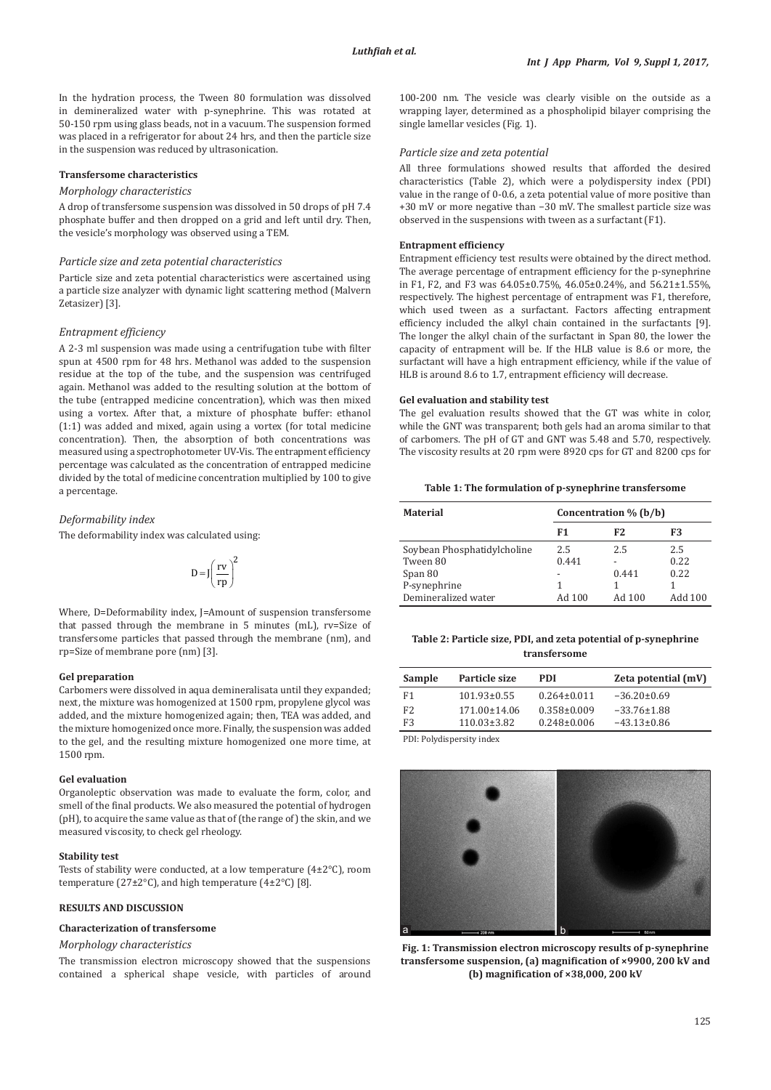In the hydration process, the Tween 80 formulation was dissolved in demineralized water with p-synephrine. This was rotated at 50-150 rpm using glass beads, not in a vacuum. The suspension formed was placed in a refrigerator for about 24 hrs, and then the particle size in the suspension was reduced by ultrasonication.

#### **Transfersome characteristics**

#### *Morphology characteristics*

A drop of transfersome suspension was dissolved in 50 drops of pH 7.4 phosphate buffer and then dropped on a grid and left until dry. Then, the vesicle's morphology was observed using a TEM.

#### *Particle size and zeta potential characteristics*

Particle size and zeta potential characteristics were ascertained using a particle size analyzer with dynamic light scattering method (Malvern Zetasizer) [3].

## *Entrapment efficiency*

A 2-3 ml suspension was made using a centrifugation tube with filter spun at 4500 rpm for 48 hrs. Methanol was added to the suspension residue at the top of the tube, and the suspension was centrifuged again. Methanol was added to the resulting solution at the bottom of the tube (entrapped medicine concentration), which was then mixed using a vortex. After that, a mixture of phosphate buffer: ethanol (1:1) was added and mixed, again using a vortex (for total medicine concentration). Then, the absorption of both concentrations was measured using a spectrophotometer UV-Vis. The entrapment efficiency percentage was calculated as the concentration of entrapped medicine divided by the total of medicine concentration multiplied by 100 to give a percentage.

## *Deformability index*

The deformability index was calculated using:

$$
D\!=\!J\!\!\left(\frac{rv}{rp}\right)^{\!2}
$$

Where, D=Deformability index, J=Amount of suspension transfersome that passed through the membrane in 5 minutes (mL), rv=Size of transfersome particles that passed through the membrane (nm), and rp=Size of membrane pore (nm) [3].

#### **Gel preparation**

Carbomers were dissolved in aqua demineralisata until they expanded; next, the mixture was homogenized at 1500 rpm, propylene glycol was added, and the mixture homogenized again; then, TEA was added, and the mixture homogenized once more. Finally, the suspension was added to the gel, and the resulting mixture homogenized one more time, at 1500 rpm.

#### **Gel evaluation**

Organoleptic observation was made to evaluate the form, color, and smell of the final products. We also measured the potential of hydrogen  $(pH)$ , to acquire the same value as that of (the range of) the skin, and we measured viscosity, to check gel rheology.

#### **Stability test**

Tests of stability were conducted, at a low temperature (4±2°C), room temperature (27±2°C), and high temperature (4±2°C) [8].

#### **RESULTS AND DISCUSSION**

#### **Characterization of transfersome**

## *Morphology characteristics*

The transmission electron microscopy showed that the suspensions contained a spherical shape vesicle, with particles of around 100-200 nm. The vesicle was clearly visible on the outside as a wrapping layer, determined as a phospholipid bilayer comprising the single lamellar vesicles (Fig. 1).

#### *Particle size and zeta potential*

All three formulations showed results that afforded the desired characteristics (Table 2), which were a polydispersity index (PDI) value in the range of 0-0.6, a zeta potential value of more positive than +30 mV or more negative than −30 mV. The smallest particle size was observed in the suspensions with tween as a surfactant (F1).

## **Entrapment efficiency**

Entrapment efficiency test results were obtained by the direct method. The average percentage of entrapment efficiency for the p-synephrine in F1, F2, and F3 was 64.05±0.75%, 46.05±0.24%, and 56.21±1.55%, respectively. The highest percentage of entrapment was F1, therefore, which used tween as a surfactant. Factors affecting entrapment efficiency included the alkyl chain contained in the surfactants [9]. The longer the alkyl chain of the surfactant in Span 80, the lower the capacity of entrapment will be. If the HLB value is 8.6 or more, the surfactant will have a high entrapment efficiency, while if the value of HLB is around 8.6 to 1.7, entrapment efficiency will decrease.

## **Gel evaluation and stability test**

The gel evaluation results showed that the GT was white in color, while the GNT was transparent; both gels had an aroma similar to that of carbomers. The pH of GT and GNT was 5.48 and 5.70, respectively. The viscosity results at 20 rpm were 8920 cps for GT and 8200 cps for

**Table 1: The formulation of p‑synephrine transfersome**

| <b>Material</b>             | Concentration $\%$ (b/b) |        |         |
|-----------------------------|--------------------------|--------|---------|
|                             | F1                       | F2     | F3      |
| Soybean Phosphatidylcholine | 2.5                      | 2.5    | 2.5     |
| Tween 80                    | 0.441                    |        | 0.22    |
| Span 80                     |                          | 0.441  | 0.22    |
| P-synephrine                |                          |        |         |
| Demineralized water         | Ad 100                   | Ad 100 | Add 100 |

## **Table 2: Particle size, PDI, and zeta potential of p‑synephrine transfersome**

| <b>Sample</b>                    | Particle size                         | <b>PDI</b>                             | Zeta potential (mV)                    |
|----------------------------------|---------------------------------------|----------------------------------------|----------------------------------------|
| F1                               | $101.93 \pm 0.55$                     | $0.264 \pm 0.011$                      | $-36.20 \pm 0.69$                      |
| F <sub>2</sub><br>F <sub>3</sub> | $171.00 \pm 14.06$<br>$110.03\pm3.82$ | $0.358 \pm 0.009$<br>$0.248 \pm 0.006$ | $-33.76 \pm 1.88$<br>$-43.13 \pm 0.86$ |

PDI: Polydispersity index



**Fig. 1: Transmission electron microscopy results of p-synephrine transfersome suspension, (a) magnification of ×9900, 200 kV and (b) magnification of ×38,000, 200 kV**